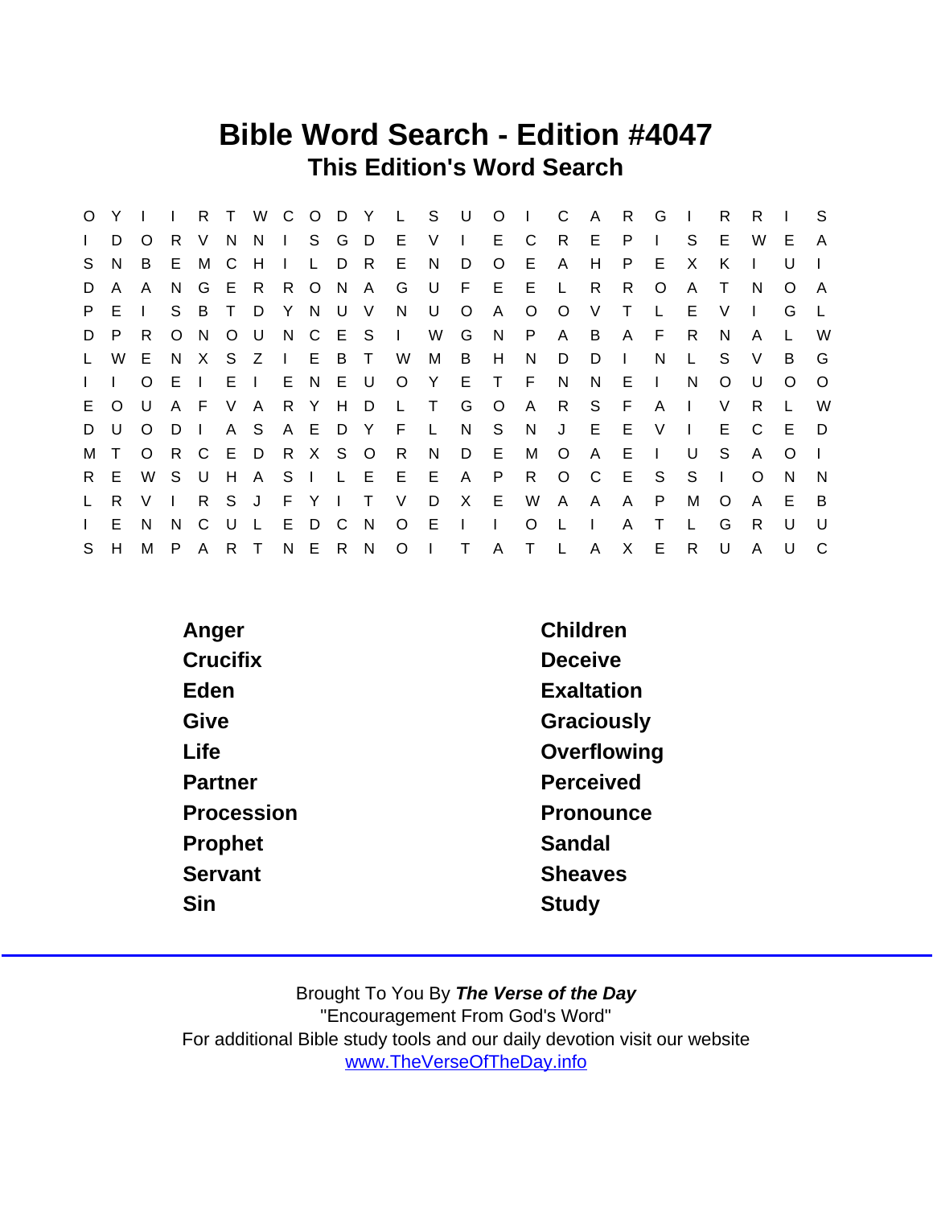## Bible Word Search - Edition #4047 This Edition's Word Search

| $\circ$      | Y        |              |         | R.           | $\top$       |              | W C          |         | O D Y          |        | L S          |         | U            | $\circ$      |         | C            | A            | R.           | G            |              | R            | R        |          | S.           |
|--------------|----------|--------------|---------|--------------|--------------|--------------|--------------|---------|----------------|--------|--------------|---------|--------------|--------------|---------|--------------|--------------|--------------|--------------|--------------|--------------|----------|----------|--------------|
| $\mathbf{L}$ | D        | O            | R.      | V            | N.           | N.           | $\mathbf{L}$ |         | S G            | - D    | E            | V       | $\Box$       | E.           | C       | R.           | E.           | P            |              | S            | E            | W        | E.       | $\mathsf{A}$ |
| S.           | N.       | B            | E.      | M            | - C          | H            | $\mathbf{L}$ | L       | D              | -R     | E            | N.      | D            | $\circ$      | E       | A            | H            | P            | E.           | X            | K            |          | U        |              |
| D            | A        | A            | N.      | G            | E            | R            | R.           |         | O N            | A      | G            | - U     | F            | E.           | Е       |              | R            | R.           | O            | A            | T            | N        | O        | A            |
| P.           | E.       | $\mathbf{L}$ | S.      | B            | $\top$       | D            | Y            | N       | U              | $\vee$ | N.           | U       | $\circ$      | A            | $\circ$ | $\circ$      | V            | Τ            |              | E            | V            |          | G        |              |
| D            | P.       | R.           | $\circ$ | N.           | $\circ$      | U            |              | N C E S |                |        | $\mathbf{I}$ | W       | G            | N.           | P       | A            | B            | $\mathsf{A}$ | F.           | R            | N            | A        |          | W            |
| $\mathsf{L}$ | W        | E.           | N.      | X            | S.           | Z            | $\mathbf{I}$ |         | E B            | $\top$ | W            | M       | B            | H            | N       | D            | D            | $\mathbf{I}$ | N            | $\mathsf{L}$ | S            | V        | B        | G            |
| $\mathbf{I}$ |          | $\circ$      | E       |              | E            | $\mathbf{L}$ | E.           | N E     |                | - U    | $\circ$      | Y       | E            | $\top$       | F       | N            | N            | Е            | $\mathbf{I}$ | N            | O            | U        | O        | $\circ$      |
| E.           | $\Omega$ | U            | A F     |              | V            | A            |              | R Y H   |                | D.     | $\mathbf{L}$ | $\top$  | G            | $\circ$      | A       | R            | S.           | F            | A            | $\mathbf{I}$ | V            | R        |          | W            |
| D            | U        | $\circ$      | D       | $\mathbf{I}$ | A            | S.           |              | A E D   |                | - Y    | -F           | $\perp$ | N            | S            | N       | J            | E            | Е            | $\vee$       | $\mathbf{I}$ | E.           | C        | E        | D            |
| М            |          | $\circ$      | R       | C.           | - E          | D            |              | R X S O |                |        | R            | N.      | D            | E            | М       | $\circ$      | A            | Е            | $\mathbf{I}$ | U            | S            | A        | $\Omega$ |              |
| R.           | E        | W            | S.      | U            | H            | $\mathsf{A}$ | S.           | $\Box$  | - Li           | E.     | E            | E       | $\mathsf{A}$ | P            | R       | $\circ$      | C C          | E            | S.           | S            | $\mathbf{L}$ | $\Omega$ | N        | <sup>N</sup> |
| $\mathsf{L}$ | R        | V            |         | R            | <sub>S</sub> | J            |              | F Y I   |                | $\top$ | V            | D       | $\mathsf{X}$ | E.           | W       | A            | $\mathsf{A}$ | A            | P            | м            | O            | A        | Е        | -B           |
| $\mathbf{L}$ | E.       | N.           | N.      | C            | U            | L            | E.           | D       | $\overline{C}$ | N      | $\circ$      | E       |              | J.           | $\circ$ | $\mathbf{L}$ | $\mathbf{I}$ | A            |              |              | G            | R        | $\cup$   | U            |
| S            | H        | M            | P.      | $\mathsf{A}$ | R            | $\top$       | N            |         | E R            | N      | $\circ$      |         | T.           | $\mathsf{A}$ | $\top$  | $\mathsf{L}$ | A            | X.           | E.           | R            | U            | A        | U        | C            |

| Anger      | Children          |
|------------|-------------------|
| Crucifix   | Deceive           |
| Eden       | <b>Exaltation</b> |
| Give       | Graciously        |
| Life       | Overflowing       |
| Partner    | Perceived         |
| Procession | Pronounce         |
| Prophet    | Sandal            |
| Servant    | <b>Sheaves</b>    |
| Sin        | Study             |
|            |                   |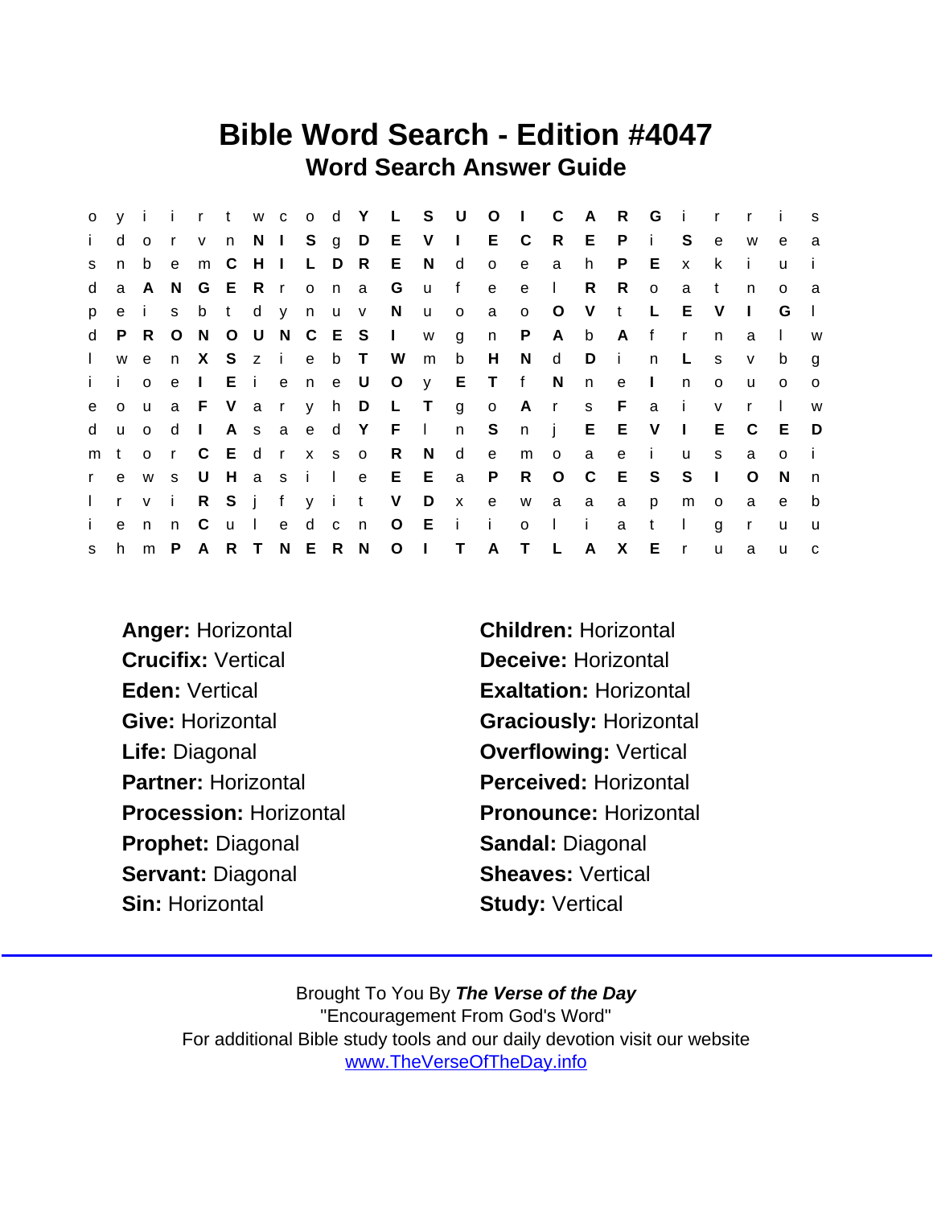## Bible Word Search - Edition #4047 Word Search Answer Guide

| $\circ$      |              |              |              |                 |               |             |       |       |                |         | y i i r t w c o d Y L S U O I |             |              |              |              | $\mathbf{C}$ | A              | R            | G        | $\mathbf{i}$ | $\mathsf{r}$ | $\mathsf{r}$ | - i          | S            |
|--------------|--------------|--------------|--------------|-----------------|---------------|-------------|-------|-------|----------------|---------|-------------------------------|-------------|--------------|--------------|--------------|--------------|----------------|--------------|----------|--------------|--------------|--------------|--------------|--------------|
| j.           | d            | $\circ$      | $\mathsf{r}$ | V               |               |             |       |       |                |         | n N I S g D E V I             |             |              | E C          |              | R            | - E -          | P            | j.       | S.           | $\mathbf{e}$ | W            | e            | a            |
| S.           | n            | b            | e            | m               | C             | $H$ $\perp$ |       | L D R |                |         | E                             | N           | d            | $\mathsf{o}$ | $\mathbf{e}$ | a            | h.             | P.           | E        | $\mathsf{x}$ | k.           | - i          | u            | $\mathbf{I}$ |
| d            |              | a A N        |              | G               | ERr           |             |       |       |                | on a G  |                               | <b>u</b>    | f            | $\mathbf{e}$ | e            | $\mathbf{L}$ | R              | R            | $\circ$  | a            | t            | n            | $\Omega$     | a            |
| p            | $\mathbf{e}$ | i.           | s            |                 | b t d y n u v |             |       |       |                |         | N                             | <b>u</b>    | $\circ$      | a            | $\circ$      | $\circ$      | V.             | $-t$         | L        | E.           | V            | $\mathbf{I}$ | G            | -1           |
| d            |              | P R O        |              | N               |               |             |       |       |                |         | O U N C E S I W               |             | $\mathsf{g}$ | n            | P            | A            | b              | A f          |          | $\mathsf{r}$ | n.           | a            | $\mathbf{I}$ | W            |
| $\mathbf{L}$ | W            | e e          | n            | $\mathsf{X}$    |               |             | S z i |       |                | e b T W |                               | m           | $\mathsf{b}$ | H            | N            | d            | D              | $\mathbf{I}$ | n        | L.           | s            | $\vee$       | b            | g            |
| $\mathbf{i}$ | i.           | $\circ$      | e e          | $\mathbf{1}$    |               |             |       |       |                |         | Eiene U O y E T f N           |             |              |              |              |              | n              | $\mathbf{e}$ | $\sim 1$ | n.           | $\circ$      | u            | $\circ$      | $\circ$      |
| $\mathbf{e}$ | $\circ$      | $\mathsf{u}$ |              | a F V a r y h D |               |             |       |       |                |         | L T                           |             | $g$ o        |              | Ars          |              |                | F            | a        | $\mathbf{i}$ | $\mathsf{V}$ | $\mathsf{r}$ | $\mathbf{L}$ | W            |
| d            | <b>u</b>     | $\Omega$     | d            | $\mathbf{L}$    |               |             | A s a |       |                | e d Y F |                               | $\Box$      | n S          |              | n            | $\mathbf{i}$ | E              | Е            | V        | $\mathbf{L}$ | E.           | C            | E            | - D          |
| m            | t            | $\circ$      | $\mathsf{r}$ | C               | Edrx so       |             |       |       |                |         | R                             | N           | d            | e            | m            | $\circ$      | a              | e            | j.       | u            | s.           | a            | $\Omega$     | $\mathbf{i}$ |
| $\mathbf{r}$ | e            | W            | S.           | U               |               |             | Hasil |       |                | e       |                               | $E$ $E$     | $\mathsf{a}$ | P            | R            | $\circ$      | $\overline{C}$ | E            | S.       | S            | $\Box$       | O            | <sup>N</sup> | n            |
| $\mathbf{L}$ | $r \vee$     |              | $\mathbf{i}$ | R               |               |             | S j f | y it  |                |         | V                             | D           | $\mathsf{X}$ | e            |              | w a a        |                | a            | p        | m            | $\circ$      | a            | e            | b            |
| i.           | e            | n            | n.           | C.              | u             | $\Box$      | e     | d     | c <sub>n</sub> |         | $\circ$                       | - E         | j.           | - i -        | $\mathsf{o}$ | $\perp$      | $\mathbf{i}$   | a            | t        | $\mathbf{I}$ | g            | $\mathsf{r}$ | u            | u            |
| S.           | h            | $m$ $P$      |              | A R T N E R N   |               |             |       |       |                |         |                               | $O \quad I$ | T A          |              | T L          |              | $\mathsf{A}$   | $\mathsf{X}$ | Е        | $\mathsf{r}$ | u            | a            | u            | C            |

Crucifix: Vertical Deceive: Horizontal Eden: Vertical **Exaltation: Horizontal** Life: Diagonal **Contact Contact Contact Contact Contact Contact Contact Contact Contact Contact Contact Contact Contact Contact Contact Contact Contact Contact Contact Contact Contact Contact Contact Contact Contact Contac** Prophet: Diagonal Sandal: Diagonal Servant: Diagonal Sheaves: Vertical Sin: Horizontal Sin: Study: Vertical

Anger: Horizontal Children: Horizontal Give: Horizontal Graciously: Horizontal Partner: Horizontal Perceived: Horizontal Procession: Horizontal Pronounce: Horizontal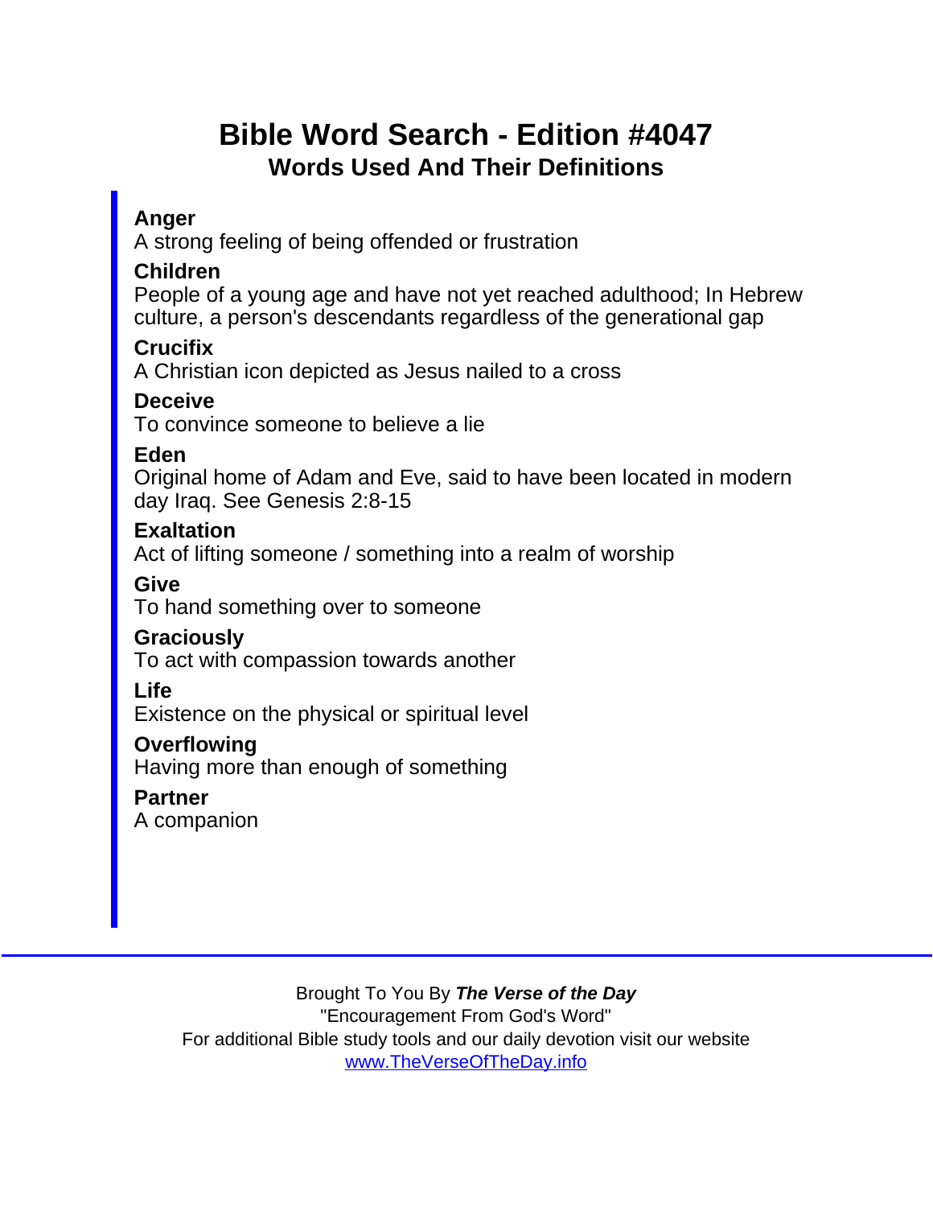# Bible Word Search - Edition #4047 Words Used And Their Definitions

### Anger

A strong feeling of being offended or frustration

#### Children

People of a young age and have not yet reached adulthood; In Hebrew culture, a person's descendants regardless of the generational gap

Crucifix

A Christian icon depicted as Jesus nailed to a cross

**Deceive** 

To convince someone to believe a lie

Eden

Original home of Adam and Eve, said to have been located in modern day Iraq. See Genesis 2:8-15

**Exaltation** 

Act of lifting someone / something into a realm of worship

Give

To hand something over to someone

**Graciously** 

To act with compassion towards another

Life

Existence on the physical or spiritual level

**Overflowing** 

Having more than enough of something

**Partner** 

A companion